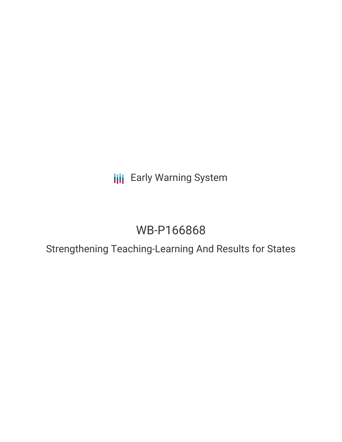**III** Early Warning System

# WB-P166868

Strengthening Teaching-Learning And Results for States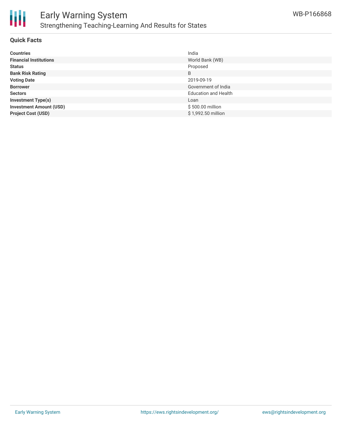

# **Quick Facts**

| <b>Countries</b>               | India                       |
|--------------------------------|-----------------------------|
| <b>Financial Institutions</b>  | World Bank (WB)             |
| <b>Status</b>                  | Proposed                    |
| <b>Bank Risk Rating</b>        | B                           |
| <b>Voting Date</b>             | 2019-09-19                  |
| <b>Borrower</b>                | Government of India         |
| <b>Sectors</b>                 | <b>Education and Health</b> |
| <b>Investment Type(s)</b>      | Loan                        |
| <b>Investment Amount (USD)</b> | \$500.00 million            |
| <b>Project Cost (USD)</b>      | \$1,992.50 million          |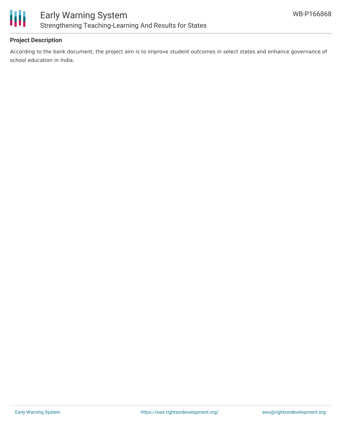

# **Project Description**

According to the bank document, the project aim is to improve student outcomes in select states and enhance governance of school education in India.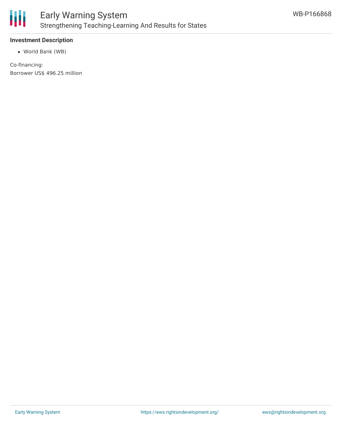

# **Investment Description**

World Bank (WB)

Co-financing: Borrower US\$ 496.25 million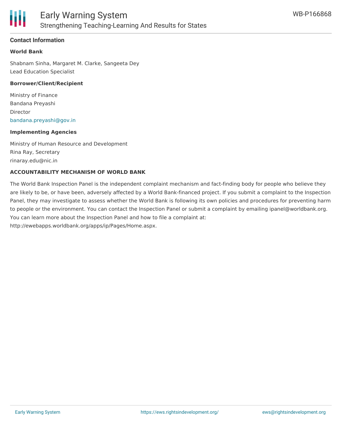

# **Contact Information**

# **World Bank**

Shabnam Sinha, Margaret M. Clarke, Sangeeta Dey Lead Education Specialist

#### **Borrower/Client/Recipient**

Ministry of Finance Bandana Preyashi Director [bandana.preyashi@gov.in](mailto:bandana.preyashi@gov.in)

#### **Implementing Agencies**

Ministry of Human Resource and Development Rina Ray, Secretary rinaray.edu@nic.in

#### **ACCOUNTABILITY MECHANISM OF WORLD BANK**

The World Bank Inspection Panel is the independent complaint mechanism and fact-finding body for people who believe they are likely to be, or have been, adversely affected by a World Bank-financed project. If you submit a complaint to the Inspection Panel, they may investigate to assess whether the World Bank is following its own policies and procedures for preventing harm to people or the environment. You can contact the Inspection Panel or submit a complaint by emailing ipanel@worldbank.org. You can learn more about the Inspection Panel and how to file a complaint at: http://ewebapps.worldbank.org/apps/ip/Pages/Home.aspx.